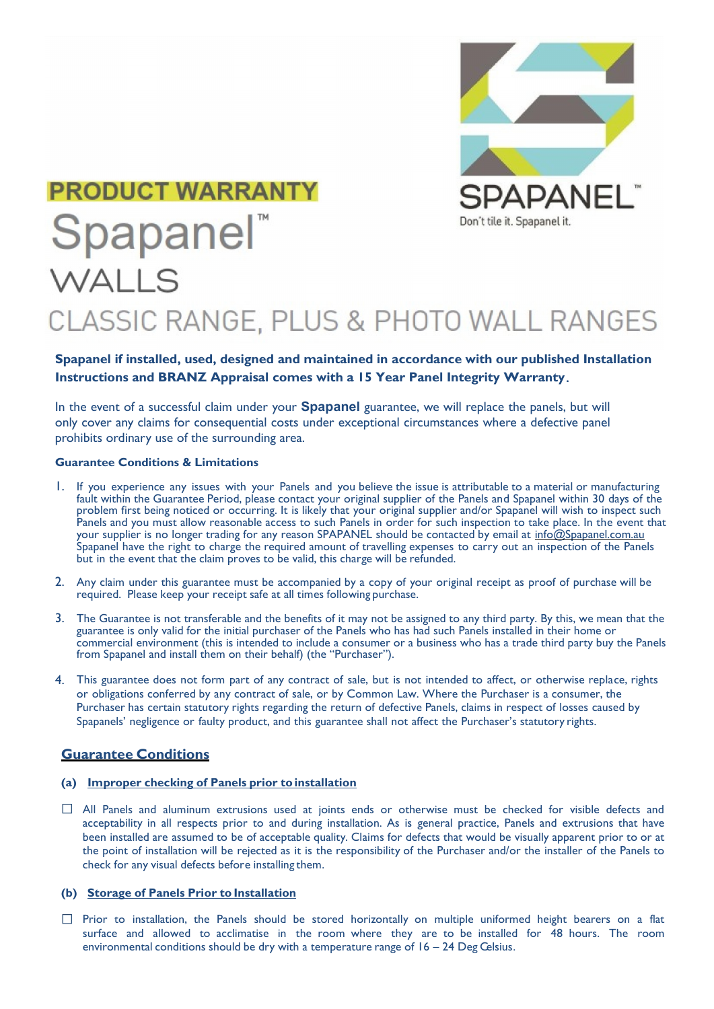

## **PRODUCT WARRANTY** Spapanel<sup>®</sup>

# CLASSIC RANGE, PLUS & PHOTO WALL RANGES

## **Spapanel if installed, used, designed and maintained in accordance with our published Installation Instructions and BRANZ Appraisal comes with a 15 Year Panel Integrity Warranty.**

In the event of a successful claim under your **Spapanel** guarantee, we will replace the panels, but will only cover any claims for consequential costs under exceptional circumstances where a defective panel prohibits ordinary use of the surrounding area.

#### **Guarantee Conditions & Limitations**

WALLS

- 1. If you experience any issues with your Panels and you believe the issue is attributable to a material or manufacturing fault within the Guarantee Period, please contact your original supplier of the Panels and Spapanel within 30 days of the problem first being noticed or occurring. It is likely that your original supplier and/or Spapanel will wish to inspect such Panels and you must allow reasonable access to such Panels in order for such inspection to take place. In the event that your supplier is no longer trading for any reason SPAPANEL should be contacted by email at [info@Spapanel.com.au](mailto:info@spapanel.com.au) Spapanel have the right to charge the required amount of travelling expenses to carry out an inspection of the Panels but in the event that the claim proves to be valid, this charge will be refunded.
- 2. Any claim under this guarantee must be accompanied by a copy of your original receipt as proof of purchase will be required. Please keep your receipt safe at all times following purchase.
- 3. The Guarantee is not transferable and the benefits of it may not be assigned to any third party. By this, we mean that the guarantee is only valid for the initial purchaser of the Panels who has had such Panels installed in their home or commercial environment (this is intended to include a consumer or a business who has a trade third party buy the Panels from Spapanel and install them on their behalf) (the "Purchaser").
- 4. This guarantee does not form part of any contract of sale, but is not intended to affect, or otherwise replace, rights or obligations conferred by any contract of sale, or by Common Law. Where the Purchaser is a consumer, the Purchaser has certain statutory rights regarding the return of defective Panels, claims in respect of losses caused by Spapanels' negligence or faulty product, and this guarantee shall not affect the Purchaser's statutory rights.

### **Guarantee Conditions**

#### **(a) Improper checking of Panels prior to installation**

All Panels and aluminum extrusions used at joints ends or otherwise must be checked for visible defects and acceptability in all respects prior to and during installation. As is general practice, Panels and extrusions that have been installed are assumed to be of acceptable quality. Claims for defects that would be visually apparent prior to or at the point of installation will be rejected as it is the responsibility of the Purchaser and/or the installer of the Panels to check for any visual defects before installing them.

#### **(b) Storage of Panels Prior to Installation**

 $\Box$  Prior to installation, the Panels should be stored horizontally on multiple uniformed height bearers on a flat surface and allowed to acclimatise in the room where they are to be installed for 48 hours. The room environmental conditions should be dry with a temperature range of  $16 - 24$  Deg Celsius.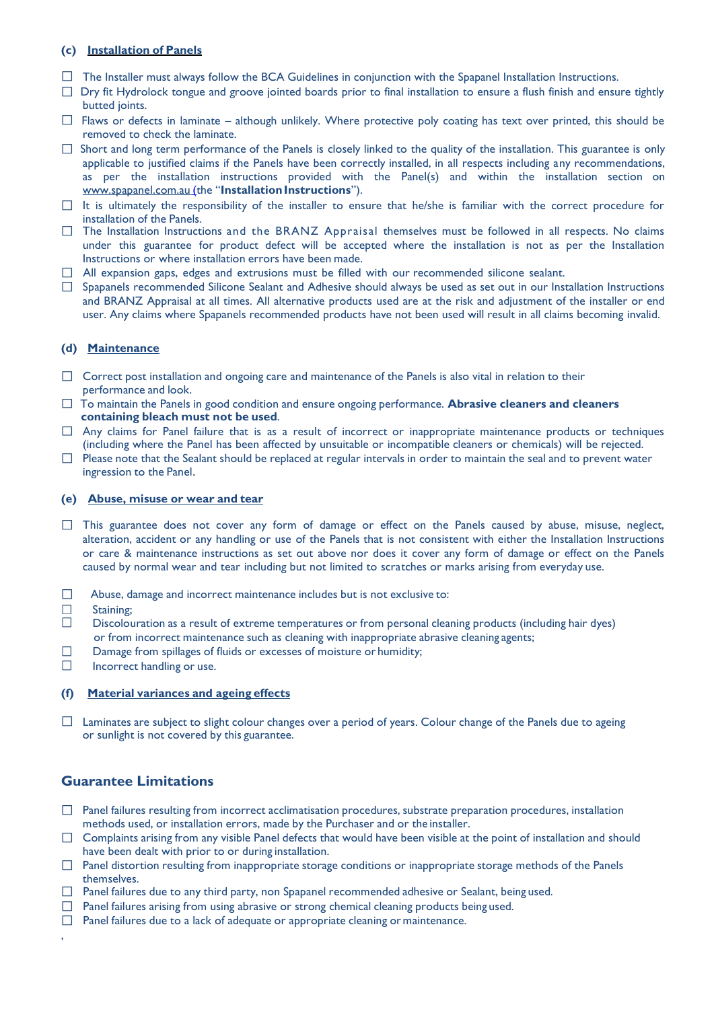#### **(c) Installation of Panels**

- $\Box$  The Installer must always follow the BCA Guidelines in conjunction with the Spapanel Installation Instructions.
- $\Box$  Dry fit Hydrolock tongue and groove jointed boards prior to final installation to ensure a flush finish and ensure tightly butted joints.
- $\Box$  Flaws or defects in laminate although unlikely. Where protective poly coating has text over printed, this should be removed to check the laminate.
- $\Box$  Short and long term performance of the Panels is closely linked to the quality of the installation. This guarantee is only applicable to justified claims if the Panels have been correctly installed, in all respects including any recommendations, as per the installation instructions provided with the Panel(s) and within the installation section on www.spapanel.com.au (the "Installation Instructions").
- $\Box$  It is ultimately the responsibility of the installer to ensure that he/she is familiar with the correct procedure for installation of the Panels.
- $\Box$  The Installation Instructions and the BRANZ Appraisal themselves must be followed in all respects. No claims under this guarantee for product defect will be accepted where the installation is not as per the Installation Instructions or where installation errors have been made.
- $\Box$  All expansion gaps, edges and extrusions must be filled with our recommended silicone sealant.
- $\Box$  Spapanels recommended Silicone Sealant and Adhesive should always be used as set out in our Installation Instructions and BRANZ Appraisal at all times. All alternative products used are at the risk and adjustment of the installer or end user. Any claims where Spapanels recommended products have not been used will result in all claims becoming invalid.

#### **(d) Maintenance**

- $\Box$  Correct post installation and ongoing care and maintenance of the Panels is also vital in relation to their performance and look.
- To maintain the Panels in good condition and ensure ongoing performance. **Abrasive cleaners and cleaners containing bleach must not be used**.
- $\Box$  Any claims for Panel failure that is as a result of incorrect or inappropriate maintenance products or techniques (including where the Panel has been affected by unsuitable or incompatible cleaners or chemicals) will be rejected.
- $\Box$  Please note that the Sealant should be replaced at regular intervals in order to maintain the seal and to prevent water ingression to the Panel.

#### **(e) Abuse, misuse or wear and tear**

- $\Box$  This guarantee does not cover any form of damage or effect on the Panels caused by abuse, misuse, neglect, alteration, accident or any handling or use of the Panels that is not consistent with either the Installation Instructions or care & maintenance instructions as set out above nor does it cover any form of damage or effect on the Panels caused by normal wear and tear including but not limited to scratches or marks arising from everyday use.
- $\Box$ Abuse, damage and incorrect maintenance includes but is not exclusive to:
- $\Box$ Staining;

,

- $\Box$ Discolouration as a result of extreme temperatures or from personal cleaning products (including hair dyes) or from incorrect maintenance such as cleaning with inappropriate abrasive cleaning agents;
- $\Box$ Damage from spillages of fluids or excesses of moisture or humidity;
- $\Box$ Incorrect handling or use.

#### **(f) Material variances and ageing effects**

 $\Box$  Laminates are subject to slight colour changes over a period of years. Colour change of the Panels due to ageing or sunlight is not covered by this guarantee.

## **Guarantee Limitations**

- $\Box$  Panel failures resulting from incorrect acclimatisation procedures, substrate preparation procedures, installation methods used, or installation errors, made by the Purchaser and or the installer.
- $\Box$  Complaints arising from any visible Panel defects that would have been visible at the point of installation and should have been dealt with prior to or during installation.
- $\Box$  Panel distortion resulting from inappropriate storage conditions or inappropriate storage methods of the Panels themselves.
- $\Box$  Panel failures due to any third party, non Spapanel recommended adhesive or Sealant, being used.
- $\Box$  Panel failures arising from using abrasive or strong chemical cleaning products being used.
- $\Box$  Panel failures due to a lack of adequate or appropriate cleaning or maintenance.